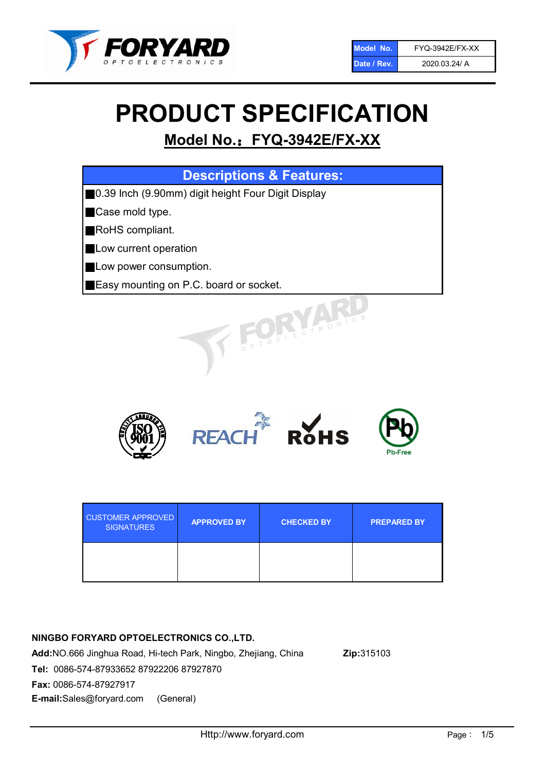

# PRODUCT SPECIFICATION

# Model No.: FYQ-3942E/FX-XX

| <b>Descriptions &amp; Features:</b>                 |
|-----------------------------------------------------|
| ■0.39 Inch (9.90mm) digit height Four Digit Display |
| Case mold type.                                     |
| RoHS compliant.                                     |
| Low current operation                               |
| Low power consumption.                              |
| Easy mounting on P.C. board or socket.              |
| TOELECTRONIC                                        |



| <b>CUSTOMER APPROVED</b><br><b>SIGNATURES</b> | <b>APPROVED BY</b> | <b>CHECKED BY</b> | <b>PREPARED BY</b> |
|-----------------------------------------------|--------------------|-------------------|--------------------|
|                                               |                    |                   |                    |

## NINGBO FORYARD OPTOELECTRONICS CO.,LTD.

Add:NO.666 Jinghua Road, Hi-tech Park, Ningbo, Zhejiang, China Zip:315103 Tel: 0086-574-87933652 87922206 87927870 Fax: 0086-574-87927917 E-mail:Sales@foryard.com (General)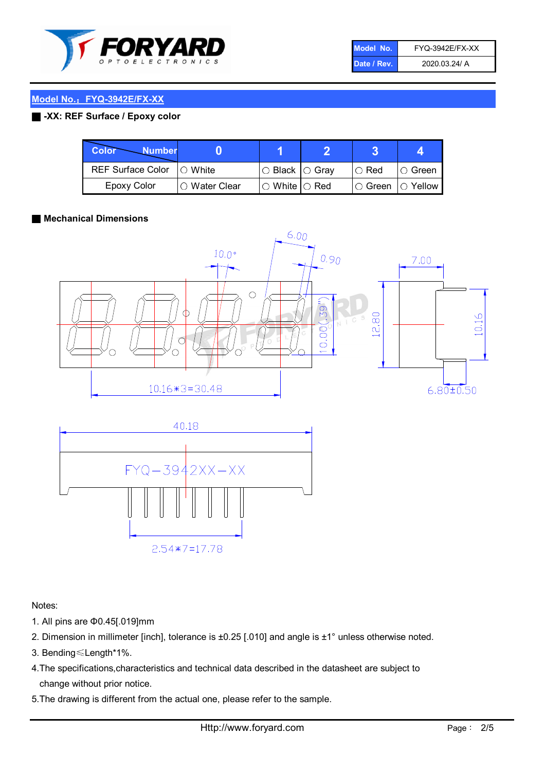

| Model No.   | <b>FYQ-3942E/FX-XX</b> |
|-------------|------------------------|
| Date / Rev. | 2020.03.24/ A          |

#### Model No.: FYQ-3942E/FX-XX

#### ■ -XX: REF Surface / Epoxy color

| Color<br><b>Number</b>     |                 |                           |             |                |
|----------------------------|-----------------|---------------------------|-------------|----------------|
| REF Surface Color  ○ White |                 | ○ Black  ○ Gray           | $\circ$ Red | IO Green       |
| Epoxy Color                | l ⊜ Water Clear | $\circ$ White $\circ$ Red | I⊖ Green    | $\circ$ Yellow |

#### ■ Mechanical Dimensions





Notes:

- 1. All pins are Φ0.45[.019]mm
- 2. Dimension in millimeter [inch], tolerance is ±0.25 [.010] and angle is ±1° unless otherwise noted.
- 3. Bending≤Length\*1%.
- 4.The specifications,characteristics and technical data described in the datasheet are subject to change without prior notice.
- 5.The drawing is different from the actual one, please refer to the sample.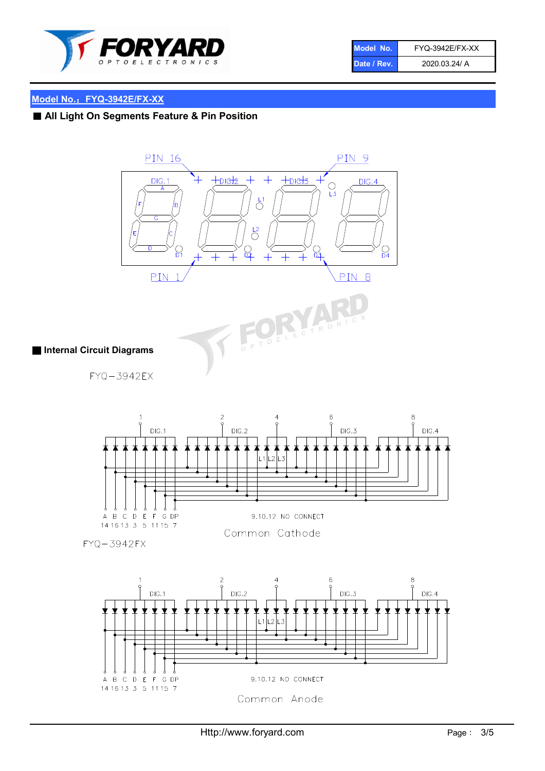

| Model No.   | <b>FYQ-3942E/FX-XX</b> |
|-------------|------------------------|
| Date / Rev. | 2020.03.24/ A          |

#### Model No.: FYQ-3942E/FX-XX

## ■ All Light On Segments Feature & Pin Position



Common Anode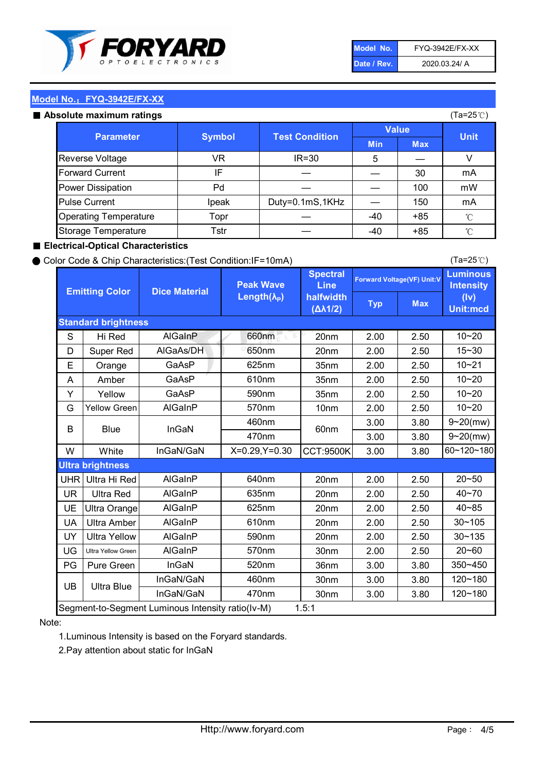

| Model No.   | <b>FYQ-3942E/FX-XX</b> |
|-------------|------------------------|
| Date / Rev. | 2020.03.24/ A          |

(Ta=25℃)

#### Model No.: FYQ-3942E/FX-XX

#### Absolute maximum

| solute maximum ratings       |               |                       |              |            | (Ta=25℃)    |
|------------------------------|---------------|-----------------------|--------------|------------|-------------|
| <b>Parameter</b>             | <b>Symbol</b> | <b>Test Condition</b> | <b>Value</b> |            |             |
|                              |               |                       | <b>Min</b>   | <b>Max</b> | <b>Unit</b> |
| Reverse Voltage              | VR            | $IR = 30$             | 5            |            |             |
| <b>Forward Current</b>       | ΙF            |                       |              | 30         | mA          |
| Power Dissipation            | Pd            |                       |              | 100        | mW          |
| <b>Pulse Current</b>         | Ipeak         | Duty=0.1mS,1KHz       |              | 150        | mA          |
| <b>Operating Temperature</b> | Topr          |                       | $-40$        | $+85$      | °C          |
| Storage Temperature          | Tstr          |                       | $-40$        | $+85$      | °C          |

#### ■ Electrical-Optical Characteristics

#### ● Color Code & Chip Characteristics:(Test Condition:IF=10mA)

Typ Max S | Hi $\textsf{Red}$  | AlGaInP | 660nm LE 20nm | 2.00 | 2.50 D | Super Red | AIGaAs/DH | 650nm | 20nm | 2.00 | 2.50 E | Orange | GaAsP | 625nm | 35nm | 2.00 | 2.50 A | Amber | GaAsP | 610nm | 35nm | 2.00 | 2.50 Y | Yellow | GaAsP | 590nm | 35nm | 2.00 | 2.50 G Yellow Green AIGaInP | 570nm | 10nm | 2.00 | 2.50 3.00 3.80 3.00 3.80 W | White | InGaN/GaN | X=0.29,Y=0.30 |CCT:9500K| 3.00 | 3.80 UHR Ultra Hi Red  $\vert$  AIGaInP  $\vert$  640nm  $\vert$  20nm  $\vert$  2.00  $\vert$  2.50 UR | Ultra Red | AlGaInP | 635nm | 20nm | 2.00 | 2.50 UE Ultra Orange | AIGaInP | 625nm | 20nm | 2.00 | 2.50 UA Ultra Amber | AIGaInP | 610nm | 20nm | 2.00 | 2.50  $UV$  Ultra Yellow  $\vert$  AlGaInP  $\vert$  590nm  $\vert$  20nm  $\vert$  2.00  $\vert$  2.50  $\text{UG}$  Ultra Yellow Green | AIGaInP | 570nm | 30nm | 2.00 | 2.50 PG | Pure Green | InGaN | 520nm | 36nm | 3.00 | 3.80 30nm 3.00 3.80 30nm 3.00 3.80 40~85 60~120~180 40~70 Segment-to-Segment Luminous Intensity ratio(Iv-M) 1.5:1 610nm 9~20(mw) 350~450 470nm 120~180 120~180 Ultra Blue InGaN/GaN 9~20(mw) 20~50 570nm | 30nm | 2.00 | 2.50 | 20~60 470nm 590nm InGaN/GaN B Blue I InGaN 570nm | 10nm | 2.00 | 2.50 | 10~20 30~105 30~135 460nm 520nm Ultra brightness **AlGaInP** AlGaInP 60nm AlGaInP 640nm Peak Wave Length $(\lambda_{\rm P})$ UB 460nm 635nm AlGaInP AlGaInP AlGaInP InGaN/GaN AlGaInP 10~20 Luminous **Intensity** (Iv) Unit:mcd AlGainP 660nm GaAsP GaAsP AlGaAs/DH **Spectral** Line halfwidth (∆λ1/2) 10~20 Standard brightness Forward Voltage(VF) Unit:V 15~30 10~20 625nm GaAsP 590nm **Emitting Color Dice Material** 10~21 610nm

#### Note:

1.Luminous Intensity is based on the Foryard standards.

2.Pay attention about static for InGaN